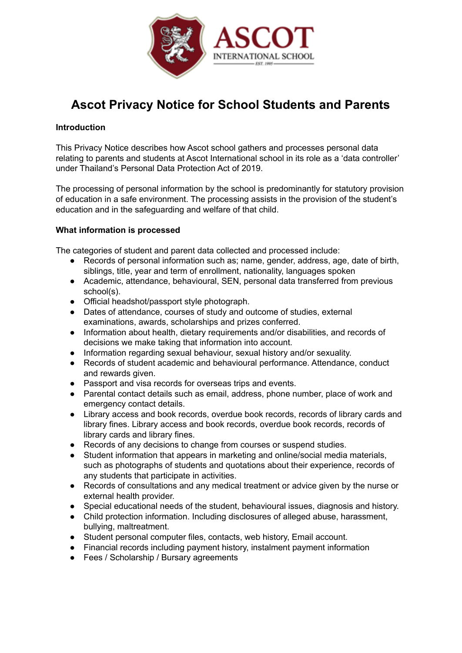

# **Ascot Privacy Notice for School Students and Parents**

## **Introduction**

This Privacy Notice describes how Ascot school gathers and processes personal data relating to parents and students at Ascot International school in its role as a 'data controller' under Thailand's Personal Data Protection Act of 2019.

The processing of personal information by the school is predominantly for statutory provision of education in a safe environment. The processing assists in the provision of the student's education and in the safeguarding and welfare of that child.

## **What information is processed**

The categories of student and parent data collected and processed include:

- Records of personal information such as; name, gender, address, age, date of birth, siblings, title, year and term of enrollment, nationality, languages spoken
- Academic, attendance, behavioural, SEN, personal data transferred from previous school(s).
- Official headshot/passport style photograph.
- Dates of attendance, courses of study and outcome of studies, external examinations, awards, scholarships and prizes conferred.
- Information about health, dietary requirements and/or disabilities, and records of decisions we make taking that information into account.
- Information regarding sexual behaviour, sexual history and/or sexuality.
- Records of student academic and behavioural performance. Attendance, conduct and rewards given.
- Passport and visa records for overseas trips and events.
- Parental contact details such as email, address, phone number, place of work and emergency contact details.
- Library access and book records, overdue book records, records of library cards and library fines. Library access and book records, overdue book records, records of library cards and library fines.
- Records of any decisions to change from courses or suspend studies.
- Student information that appears in marketing and online/social media materials, such as photographs of students and quotations about their experience, records of any students that participate in activities.
- Records of consultations and any medical treatment or advice given by the nurse or external health provider.
- Special educational needs of the student, behavioural issues, diagnosis and history.
- Child protection information. Including disclosures of alleged abuse, harassment, bullying, maltreatment.
- Student personal computer files, contacts, web history, Email account.
- Financial records including payment history, instalment payment information
- Fees / Scholarship / Bursary agreements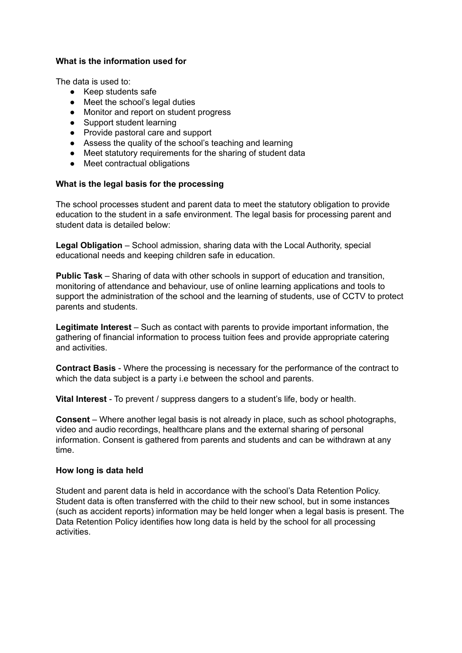## **What is the information used for**

The data is used to:

- Keep students safe
- Meet the school's legal duties
- Monitor and report on student progress
- Support student learning
- Provide pastoral care and support
- Assess the quality of the school's teaching and learning
- Meet statutory requirements for the sharing of student data
- Meet contractual obligations

## **What is the legal basis for the processing**

The school processes student and parent data to meet the statutory obligation to provide education to the student in a safe environment. The legal basis for processing parent and student data is detailed below:

**Legal Obligation** – School admission, sharing data with the Local Authority, special educational needs and keeping children safe in education.

**Public Task** – Sharing of data with other schools in support of education and transition, monitoring of attendance and behaviour, use of online learning applications and tools to support the administration of the school and the learning of students, use of CCTV to protect parents and students.

**Legitimate Interest** – Such as contact with parents to provide important information, the gathering of financial information to process tuition fees and provide appropriate catering and activities.

**Contract Basis** - Where the processing is necessary for the performance of the contract to which the data subject is a party i.e between the school and parents.

**Vital Interest** - To prevent / suppress dangers to a student's life, body or health.

**Consent** – Where another legal basis is not already in place, such as school photographs, video and audio recordings, healthcare plans and the external sharing of personal information. Consent is gathered from parents and students and can be withdrawn at any time.

## **How long is data held**

Student and parent data is held in accordance with the school's Data Retention Policy. Student data is often transferred with the child to their new school, but in some instances (such as accident reports) information may be held longer when a legal basis is present. The Data Retention Policy identifies how long data is held by the school for all processing activities.